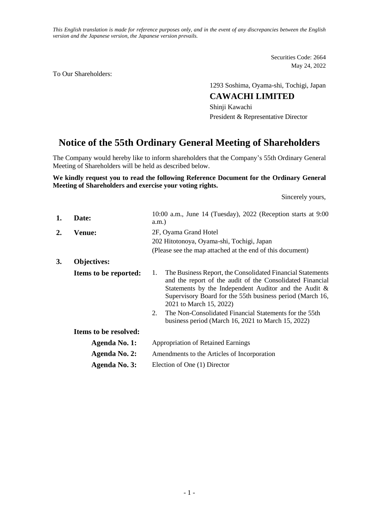*This English translation is made for reference purposes only, and in the event of any discrepancies between the English version and the Japanese version, the Japanese version prevails.*

> Securities Code: 2664 May 24, 2022

To Our Shareholders:

1293 Soshima, Oyama-shi, Tochigi, Japan

### **CAWACHI LIMITED**

Shinji Kawachi President & Representative Director

# **Notice of the 55th Ordinary General Meeting of Shareholders**

The Company would hereby like to inform shareholders that the Company's 55th Ordinary General Meeting of Shareholders will be held as described below.

#### **We kindly request you to read the following Reference Document for the Ordinary General Meeting of Shareholders and exercise your voting rights.**

Sincerely yours,

| 1. | Date:                 | 10:00 a.m., June 14 (Tuesday), 2022 (Reception starts at 9:00<br>$a.m.$ )                                                                                                                                                                                                                                                                                                                                 |  |  |  |  |
|----|-----------------------|-----------------------------------------------------------------------------------------------------------------------------------------------------------------------------------------------------------------------------------------------------------------------------------------------------------------------------------------------------------------------------------------------------------|--|--|--|--|
| 2. | <b>Venue:</b>         | 2F, Oyama Grand Hotel<br>202 Hitotonoya, Oyama-shi, Tochigi, Japan                                                                                                                                                                                                                                                                                                                                        |  |  |  |  |
|    |                       | (Please see the map attached at the end of this document)                                                                                                                                                                                                                                                                                                                                                 |  |  |  |  |
| 3. | <b>Objectives:</b>    |                                                                                                                                                                                                                                                                                                                                                                                                           |  |  |  |  |
|    | Items to be reported: | The Business Report, the Consolidated Financial Statements<br>1.<br>and the report of the audit of the Consolidated Financial<br>Statements by the Independent Auditor and the Audit &<br>Supervisory Board for the 55th business period (March 16,<br>2021 to March 15, 2022)<br>The Non-Consolidated Financial Statements for the 55th<br>$2_{1}$<br>business period (March 16, 2021 to March 15, 2022) |  |  |  |  |
|    | Items to be resolved: |                                                                                                                                                                                                                                                                                                                                                                                                           |  |  |  |  |
|    | Agenda No. 1:         | <b>Appropriation of Retained Earnings</b><br>Amendments to the Articles of Incorporation                                                                                                                                                                                                                                                                                                                  |  |  |  |  |
|    | Agenda No. 2:         |                                                                                                                                                                                                                                                                                                                                                                                                           |  |  |  |  |
|    | Agenda No. 3:         | Election of One (1) Director                                                                                                                                                                                                                                                                                                                                                                              |  |  |  |  |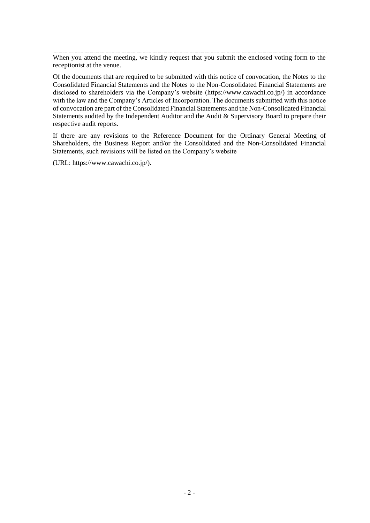When you attend the meeting, we kindly request that you submit the enclosed voting form to the receptionist at the venue.

Of the documents that are required to be submitted with this notice of convocation, the Notes to the Consolidated Financial Statements and the Notes to the Non-Consolidated Financial Statements are disclosed to shareholders via the Company's website (https://www.cawachi.co.jp/) in accordance with the law and the Company's Articles of Incorporation. The documents submitted with this notice of convocation are part of the Consolidated Financial Statements and the Non-Consolidated Financial Statements audited by the Independent Auditor and the Audit & Supervisory Board to prepare their respective audit reports.

If there are any revisions to the Reference Document for the Ordinary General Meeting of Shareholders, the Business Report and/or the Consolidated and the Non-Consolidated Financial Statements, such revisions will be listed on the Company's website

(URL: https://www.cawachi.co.jp/).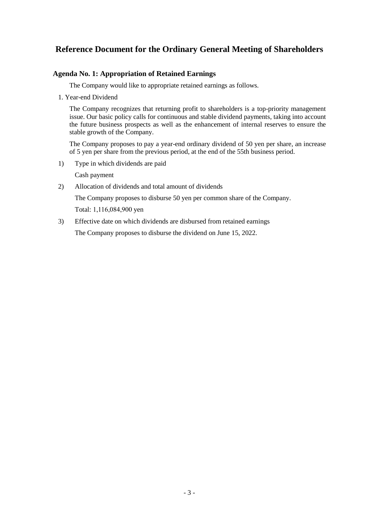## **Reference Document for the Ordinary General Meeting of Shareholders**

#### **Agenda No. 1: Appropriation of Retained Earnings**

The Company would like to appropriate retained earnings as follows.

1. Year-end Dividend

The Company recognizes that returning profit to shareholders is a top-priority management issue. Our basic policy calls for continuous and stable dividend payments, taking into account the future business prospects as well as the enhancement of internal reserves to ensure the stable growth of the Company.

The Company proposes to pay a year-end ordinary dividend of 50 yen per share, an increase of 5 yen per share from the previous period, at the end of the 55th business period.

1) Type in which dividends are paid

Cash payment

2) Allocation of dividends and total amount of dividends

The Company proposes to disburse 50 yen per common share of the Company.

Total: 1,116,084,900 yen

3) Effective date on which dividends are disbursed from retained earnings

The Company proposes to disburse the dividend on June 15, 2022.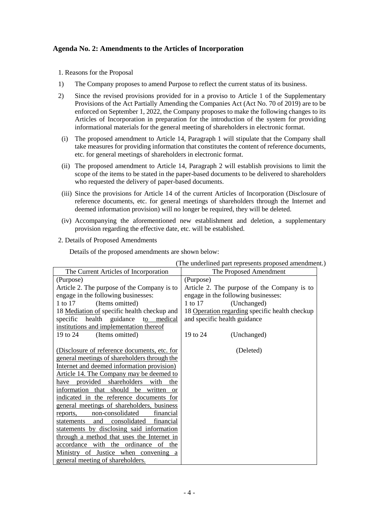#### **Agenda No. 2: Amendments to the Articles of Incorporation**

1. Reasons for the Proposal

- 1) The Company proposes to amend Purpose to reflect the current status of its business.
- 2) Since the revised provisions provided for in a proviso to Article 1 of the Supplementary Provisions of the Act Partially Amending the Companies Act (Act No. 70 of 2019) are to be enforced on September 1, 2022, the Company proposes to make the following changes to its Articles of Incorporation in preparation for the introduction of the system for providing informational materials for the general meeting of shareholders in electronic format.
- (i) The proposed amendment to Article 14, Paragraph 1 will stipulate that the Company shall take measures for providing information that constitutes the content of reference documents, etc. for general meetings of shareholders in electronic format.
- (ii) The proposed amendment to Article 14, Paragraph 2 will establish provisions to limit the scope of the items to be stated in the paper-based documents to be delivered to shareholders who requested the delivery of paper-based documents.
- (iii) Since the provisions for Article 14 of the current Articles of Incorporation (Disclosure of reference documents, etc. for general meetings of shareholders through the Internet and deemed information provision) will no longer be required, they will be deleted.
- (iv) Accompanying the aforementioned new establishment and deletion, a supplementary provision regarding the effective date, etc. will be established.

#### 2. Details of Proposed Amendments

Details of the proposed amendments are shown below:

|                                                | The underlined part represents proposed amendment. |  |  |  |
|------------------------------------------------|----------------------------------------------------|--|--|--|
| The Current Articles of Incorporation          | The Proposed Amendment                             |  |  |  |
| (Purpose)                                      | (Purpose)                                          |  |  |  |
| Article 2. The purpose of the Company is to    | Article 2. The purpose of the Company is to        |  |  |  |
| engage in the following businesses:            | engage in the following businesses:                |  |  |  |
| (Items omitted)<br>1 to 17                     | 1 to 17<br>(Unchanged)                             |  |  |  |
| 18 Mediation of specific health checkup and    | 18 Operation regarding specific health checkup     |  |  |  |
| specific health<br>guidance to medical         | and specific health guidance                       |  |  |  |
| institutions and implementation thereof        |                                                    |  |  |  |
| 19 to 24<br>(Items omitted)                    | 19 to 24<br>(Unchanged)                            |  |  |  |
|                                                |                                                    |  |  |  |
| (Disclosure of reference documents, etc. for   | (Deleted)                                          |  |  |  |
| general meetings of shareholders through the   |                                                    |  |  |  |
| Internet and deemed information provision)     |                                                    |  |  |  |
| Article 14. The Company may be deemed to       |                                                    |  |  |  |
| provided shareholders<br>with<br>the<br>have   |                                                    |  |  |  |
| information that should be written or          |                                                    |  |  |  |
| indicated in the reference documents for       |                                                    |  |  |  |
| general meetings of shareholders, business     |                                                    |  |  |  |
| non-consolidated<br>financial<br>reports,      |                                                    |  |  |  |
| consolidated<br>financial<br>and<br>statements |                                                    |  |  |  |
| statements by disclosing said information      |                                                    |  |  |  |
| through a method that uses the Internet in     |                                                    |  |  |  |
| accordance with the ordinance of the           |                                                    |  |  |  |
| Ministry of Justice when convening a           |                                                    |  |  |  |
| general meeting of shareholders.               |                                                    |  |  |  |

(The underlined part represents proposed amendment.)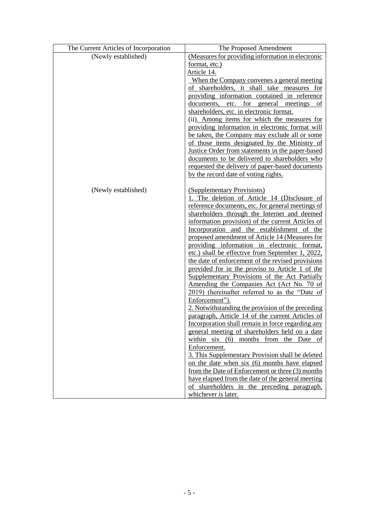| The Current Articles of Incorporation | The Proposed Amendment                                                                           |  |  |  |  |
|---------------------------------------|--------------------------------------------------------------------------------------------------|--|--|--|--|
| (Newly established)                   | (Measures for providing information in electronic                                                |  |  |  |  |
|                                       | format, etc.)                                                                                    |  |  |  |  |
|                                       | Article 14.                                                                                      |  |  |  |  |
|                                       | When the Company convenes a general meeting                                                      |  |  |  |  |
|                                       | of shareholders, it shall take measures for                                                      |  |  |  |  |
|                                       | providing information contained in reference                                                     |  |  |  |  |
|                                       | documents, etc. for general meetings of                                                          |  |  |  |  |
|                                       | shareholders, etc. in electronic format.                                                         |  |  |  |  |
|                                       | (ii). Among items for which the measures for                                                     |  |  |  |  |
|                                       | providing information in electronic format will                                                  |  |  |  |  |
|                                       | be taken, the Company may exclude all or some                                                    |  |  |  |  |
|                                       | of those items designated by the Ministry of<br>Justice Order from statements in the paper-based |  |  |  |  |
|                                       | documents to be delivered to shareholders who                                                    |  |  |  |  |
|                                       | requested the delivery of paper-based documents                                                  |  |  |  |  |
|                                       | by the record date of voting rights.                                                             |  |  |  |  |
|                                       |                                                                                                  |  |  |  |  |
| (Newly established)                   | (Supplementary Provisions)                                                                       |  |  |  |  |
|                                       | 1. The deletion of Article 14 (Disclosure of                                                     |  |  |  |  |
|                                       | reference documents, etc. for general meetings of                                                |  |  |  |  |
|                                       | shareholders through the Internet and deemed                                                     |  |  |  |  |
|                                       | information provision) of the current Articles of                                                |  |  |  |  |
|                                       | Incorporation and the establishment of the                                                       |  |  |  |  |
|                                       | proposed amendment of Article 14 (Measures for                                                   |  |  |  |  |
|                                       | providing information in electronic format,                                                      |  |  |  |  |
|                                       | etc.) shall be effective from September 1, 2022,                                                 |  |  |  |  |
|                                       | the date of enforcement of the revised provisions                                                |  |  |  |  |
|                                       | provided for in the proviso to Article 1 of the                                                  |  |  |  |  |
|                                       | Supplementary Provisions of the Act Partially                                                    |  |  |  |  |
|                                       | Amending the Companies Act (Act No. 70 of<br>2019) (hereinafter referred to as the "Date of      |  |  |  |  |
|                                       | Enforcement").                                                                                   |  |  |  |  |
|                                       | 2. Notwithstanding the provision of the preceding                                                |  |  |  |  |
|                                       | paragraph, Article 14 of the current Articles of                                                 |  |  |  |  |
|                                       | Incorporation shall remain in force regarding any                                                |  |  |  |  |
|                                       | general meeting of shareholders held on a date                                                   |  |  |  |  |
|                                       | within six (6) months from the Date of                                                           |  |  |  |  |
|                                       | Enforcement.                                                                                     |  |  |  |  |
|                                       | 3. This Supplementary Provision shall be deleted                                                 |  |  |  |  |
|                                       | on the date when six (6) months have elapsed                                                     |  |  |  |  |
|                                       | from the Date of Enforcement or three (3) months                                                 |  |  |  |  |
|                                       | have elapsed from the date of the general meeting                                                |  |  |  |  |
|                                       | of shareholders in the preceding paragraph,                                                      |  |  |  |  |
|                                       | whichever is later.                                                                              |  |  |  |  |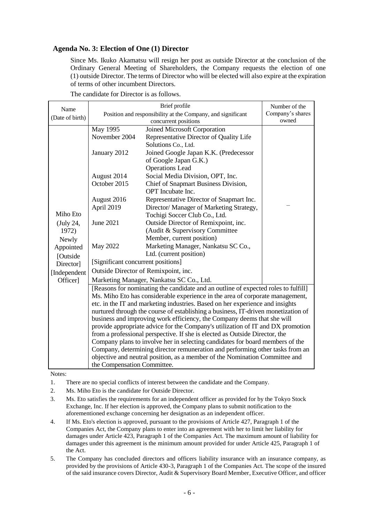#### **Agenda No. 3: Election of One (1) Director**

Since Ms. Ikuko Akamatsu will resign her post as outside Director at the conclusion of the Ordinary General Meeting of Shareholders, the Company requests the election of one (1) outside Director. The terms of Director who will be elected will also expire at the expiration of terms of other incumbent Directors.

The candidate for Director is as follows.

| Name                                                                                                                                                                                                                                                 | Brief profile                                                                   |                                          | Number of the |  |                                                                                   |                                                                         |  |  |  |
|------------------------------------------------------------------------------------------------------------------------------------------------------------------------------------------------------------------------------------------------------|---------------------------------------------------------------------------------|------------------------------------------|---------------|--|-----------------------------------------------------------------------------------|-------------------------------------------------------------------------|--|--|--|
| (Date of birth)                                                                                                                                                                                                                                      | Position and responsibility at the Company, and significant                     | Company's shares                         |               |  |                                                                                   |                                                                         |  |  |  |
|                                                                                                                                                                                                                                                      |                                                                                 | owned                                    |               |  |                                                                                   |                                                                         |  |  |  |
|                                                                                                                                                                                                                                                      | May 1995                                                                        | Joined Microsoft Corporation             |               |  |                                                                                   |                                                                         |  |  |  |
|                                                                                                                                                                                                                                                      | November 2004                                                                   | Representative Director of Quality Life  |               |  |                                                                                   |                                                                         |  |  |  |
|                                                                                                                                                                                                                                                      |                                                                                 | Solutions Co., Ltd.                      |               |  |                                                                                   |                                                                         |  |  |  |
|                                                                                                                                                                                                                                                      | January 2012                                                                    | Joined Google Japan K.K. (Predecessor    |               |  |                                                                                   |                                                                         |  |  |  |
|                                                                                                                                                                                                                                                      |                                                                                 | of Google Japan G.K.)                    |               |  |                                                                                   |                                                                         |  |  |  |
|                                                                                                                                                                                                                                                      |                                                                                 | <b>Operations Lead</b>                   |               |  |                                                                                   |                                                                         |  |  |  |
|                                                                                                                                                                                                                                                      | August 2014                                                                     | Social Media Division, OPT, Inc.         |               |  |                                                                                   |                                                                         |  |  |  |
|                                                                                                                                                                                                                                                      | October 2015                                                                    | Chief of Snapmart Business Division,     |               |  |                                                                                   |                                                                         |  |  |  |
|                                                                                                                                                                                                                                                      |                                                                                 | OPT Incubate Inc.                        |               |  |                                                                                   |                                                                         |  |  |  |
|                                                                                                                                                                                                                                                      | August 2016                                                                     | Representative Director of Snapmart Inc. |               |  |                                                                                   |                                                                         |  |  |  |
|                                                                                                                                                                                                                                                      | April 2019                                                                      | Director/ Manager of Marketing Strategy, |               |  |                                                                                   |                                                                         |  |  |  |
| Miho Eto                                                                                                                                                                                                                                             |                                                                                 | Tochigi Soccer Club Co., Ltd.            |               |  |                                                                                   |                                                                         |  |  |  |
| (July 24,                                                                                                                                                                                                                                            | <b>June 2021</b>                                                                | Outside Director of Remixpoint, inc.     |               |  |                                                                                   |                                                                         |  |  |  |
| 1972)                                                                                                                                                                                                                                                |                                                                                 | (Audit & Supervisory Committee           |               |  |                                                                                   |                                                                         |  |  |  |
| Newly                                                                                                                                                                                                                                                |                                                                                 | Member, current position)                |               |  |                                                                                   |                                                                         |  |  |  |
| Appointed                                                                                                                                                                                                                                            | May 2022                                                                        | Marketing Manager, Nankatsu SC Co.,      |               |  |                                                                                   |                                                                         |  |  |  |
| [Outside                                                                                                                                                                                                                                             |                                                                                 | Ltd. (current position)                  |               |  |                                                                                   |                                                                         |  |  |  |
| Director]                                                                                                                                                                                                                                            | [Significant concurrent positions]                                              |                                          |               |  |                                                                                   |                                                                         |  |  |  |
| [Independent                                                                                                                                                                                                                                         |                                                                                 | Outside Director of Remixpoint, inc.     |               |  |                                                                                   |                                                                         |  |  |  |
| Officer]                                                                                                                                                                                                                                             |                                                                                 |                                          |               |  |                                                                                   |                                                                         |  |  |  |
| [Reasons for nominating the candidate and an outline of expected roles to fulfill]<br>Ms. Miho Eto has considerable experience in the area of corporate management,<br>etc. in the IT and marketing industries. Based on her experience and insights |                                                                                 |                                          |               |  |                                                                                   |                                                                         |  |  |  |
|                                                                                                                                                                                                                                                      |                                                                                 |                                          |               |  | nurtured through the course of establishing a business, IT-driven monetization of |                                                                         |  |  |  |
|                                                                                                                                                                                                                                                      |                                                                                 |                                          |               |  |                                                                                   | business and improving work efficiency, the Company deems that she will |  |  |  |
|                                                                                                                                                                                                                                                      | provide appropriate advice for the Company's utilization of IT and DX promotion |                                          |               |  |                                                                                   |                                                                         |  |  |  |
|                                                                                                                                                                                                                                                      | from a professional perspective. If she is elected as Outside Director, the     |                                          |               |  |                                                                                   |                                                                         |  |  |  |
| Company plans to involve her in selecting candidates for board members of the                                                                                                                                                                        |                                                                                 |                                          |               |  |                                                                                   |                                                                         |  |  |  |
|                                                                                                                                                                                                                                                      | Company, determining director remuneration and performing other tasks from an   |                                          |               |  |                                                                                   |                                                                         |  |  |  |
|                                                                                                                                                                                                                                                      | objective and neutral position, as a member of the Nomination Committee and     |                                          |               |  |                                                                                   |                                                                         |  |  |  |
|                                                                                                                                                                                                                                                      | the Compensation Committee.                                                     |                                          |               |  |                                                                                   |                                                                         |  |  |  |

Notes:

- 1. There are no special conflicts of interest between the candidate and the Company.
- 2. Ms. Miho Eto is the candidate for Outside Director.
- 3. Ms. Eto satisfies the requirements for an independent officer as provided for by the Tokyo Stock Exchange, Inc. If her election is approved, the Company plans to submit notification to the aforementioned exchange concerning her designation as an independent officer.
- 4. If Ms. Eto's election is approved, pursuant to the provisions of Article 427, Paragraph 1 of the Companies Act, the Company plans to enter into an agreement with her to limit her liability for damages under Article 423, Paragraph 1 of the Companies Act. The maximum amount of liability for damages under this agreement is the minimum amount provided for under Article 425, Paragraph 1 of the Act.
- 5. The Company has concluded directors and officers liability insurance with an insurance company, as provided by the provisions of Article 430-3, Paragraph 1 of the Companies Act. The scope of the insured of the said insurance covers Director, Audit & Supervisory Board Member, Executive Officer, and officer